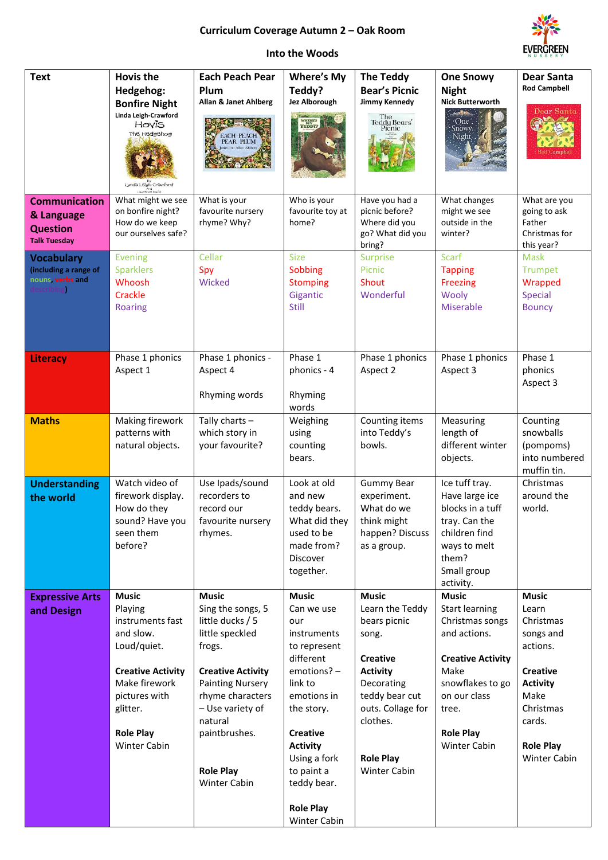## **Curriculum Coverage Autumn 2 – Oak Room**



## **Into the Woods**

| <b>Text</b>                                                                  | <b>Hovis the</b><br>Hedgehog:<br><b>Bonfire Night</b><br>Linda Leigh-Crawford<br>Hovis<br>The Hedgehog<br>Lynda Leigh-Crawford                                                               | <b>Each Peach Pear</b><br>Plum<br>Allan & Janet Ahlberg<br>EACH PEACH<br>PEAR PLUM                                                                                                                                                                       | <b>Where's My</b><br>Teddy?<br>Jez Alborough<br>WHERE'S<br>TEDDY?                                                                                                                                                                                           | <b>The Teddy</b><br><b>Bear's Picnic</b><br>Jimmy Kennedy<br>The<br>Teddy Bears'<br>Picnic                                                                                                                 | <b>One Snowy</b><br><b>Night</b><br><b>Nick Butterworth</b><br>$\label{eq:2} \mathcal{L}_{\mathcal{D}}=\mathcal{L}_{\mathcal{D}}\mathcal{L}_{\mathcal{D}}\mathcal{L}_{\mathcal{D}}\mathcal{L}_{\mathcal{D}}\,.$<br>*One<br>Snowy.<br>Night | <b>Dear Santa</b><br><b>Rod Campbell</b><br>Dear Santa<br>lod Campbe                                                                                                        |
|------------------------------------------------------------------------------|----------------------------------------------------------------------------------------------------------------------------------------------------------------------------------------------|----------------------------------------------------------------------------------------------------------------------------------------------------------------------------------------------------------------------------------------------------------|-------------------------------------------------------------------------------------------------------------------------------------------------------------------------------------------------------------------------------------------------------------|------------------------------------------------------------------------------------------------------------------------------------------------------------------------------------------------------------|--------------------------------------------------------------------------------------------------------------------------------------------------------------------------------------------------------------------------------------------|-----------------------------------------------------------------------------------------------------------------------------------------------------------------------------|
| <b>Communication</b><br>& Language<br><b>Question</b><br><b>Talk Tuesday</b> | What might we see<br>on bonfire night?<br>How do we keep<br>our ourselves safe?                                                                                                              | What is your<br>favourite nursery<br>rhyme? Why?                                                                                                                                                                                                         | Who is your<br>favourite toy at<br>home?                                                                                                                                                                                                                    | Have you had a<br>picnic before?<br>Where did you<br>go? What did you<br>bring?                                                                                                                            | What changes<br>might we see<br>outside in the<br>winter?                                                                                                                                                                                  | What are you<br>going to ask<br>Father<br>Christmas for<br>this year?                                                                                                       |
| <b>Vocabulary</b><br>(including a range of<br>nouns, verbs and<br>escribing  | <b>Evening</b><br><b>Sparklers</b><br>Whoosh<br>Crackle<br><b>Roaring</b>                                                                                                                    | Cellar<br>Spy<br>Wicked                                                                                                                                                                                                                                  | <b>Size</b><br>Sobbing<br><b>Stomping</b><br>Gigantic<br><b>Still</b>                                                                                                                                                                                       | <b>Surprise</b><br>Picnic<br>Shout<br>Wonderful                                                                                                                                                            | <b>Scarf</b><br><b>Tapping</b><br><b>Freezing</b><br>Wooly<br><b>Miserable</b>                                                                                                                                                             | <b>Mask</b><br><b>Trumpet</b><br>Wrapped<br>Special<br><b>Bouncy</b>                                                                                                        |
| Literacy                                                                     | Phase 1 phonics<br>Aspect 1                                                                                                                                                                  | Phase 1 phonics -<br>Aspect 4<br>Rhyming words                                                                                                                                                                                                           | Phase 1<br>phonics - 4<br>Rhyming<br>words                                                                                                                                                                                                                  | Phase 1 phonics<br>Aspect 2                                                                                                                                                                                | Phase 1 phonics<br>Aspect 3                                                                                                                                                                                                                | Phase 1<br>phonics<br>Aspect 3                                                                                                                                              |
| <b>Maths</b>                                                                 | Making firework<br>patterns with<br>natural objects.                                                                                                                                         | Tally charts -<br>which story in<br>your favourite?                                                                                                                                                                                                      | Weighing<br>using<br>counting<br>bears.                                                                                                                                                                                                                     | Counting items<br>into Teddy's<br>bowls.                                                                                                                                                                   | Measuring<br>length of<br>different winter<br>objects.                                                                                                                                                                                     | Counting<br>snowballs<br>(pompoms)<br>into numbered<br>muffin tin.                                                                                                          |
| <b>Understanding</b><br>the world                                            | Watch video of<br>firework display.<br>How do they<br>sound? Have you<br>seen them<br>before?                                                                                                | Use Ipads/sound<br>recorders to<br>record our<br>favourite nursery<br>rhymes.                                                                                                                                                                            | Look at old<br>and new<br>teddy bears.<br>What did they<br>used to be<br>made from?<br>Discover<br>together.                                                                                                                                                | <b>Gummy Bear</b><br>experiment.<br>What do we<br>think might<br>happen? Discuss<br>as a group.                                                                                                            | Ice tuff tray.<br>Have large ice<br>blocks in a tuff<br>tray. Can the<br>children find<br>ways to melt<br>them?<br>Small group<br>activity.                                                                                                | Christmas<br>around the<br>world.                                                                                                                                           |
| <b>Expressive Arts</b><br>and Design                                         | <b>Music</b><br>Playing<br>instruments fast<br>and slow.<br>Loud/quiet.<br><b>Creative Activity</b><br>Make firework<br>pictures with<br>glitter.<br><b>Role Play</b><br><b>Winter Cabin</b> | <b>Music</b><br>Sing the songs, 5<br>little ducks / 5<br>little speckled<br>frogs.<br><b>Creative Activity</b><br><b>Painting Nursery</b><br>rhyme characters<br>- Use variety of<br>natural<br>paintbrushes.<br><b>Role Play</b><br><b>Winter Cabin</b> | <b>Music</b><br>Can we use<br>our<br>instruments<br>to represent<br>different<br>emotions? -<br>link to<br>emotions in<br>the story.<br><b>Creative</b><br><b>Activity</b><br>Using a fork<br>to paint a<br>teddy bear.<br><b>Role Play</b><br>Winter Cabin | <b>Music</b><br>Learn the Teddy<br>bears picnic<br>song.<br><b>Creative</b><br><b>Activity</b><br>Decorating<br>teddy bear cut<br>outs. Collage for<br>clothes.<br><b>Role Play</b><br><b>Winter Cabin</b> | <b>Music</b><br><b>Start learning</b><br>Christmas songs<br>and actions.<br><b>Creative Activity</b><br>Make<br>snowflakes to go<br>on our class<br>tree.<br><b>Role Play</b><br>Winter Cabin                                              | <b>Music</b><br>Learn<br>Christmas<br>songs and<br>actions.<br><b>Creative</b><br><b>Activity</b><br>Make<br>Christmas<br>cards.<br><b>Role Play</b><br><b>Winter Cabin</b> |